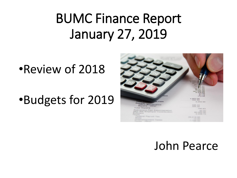#### BUMC Finance Report January 27, 2019

•Review of 2018

•Budgets for 2019



#### John Pearce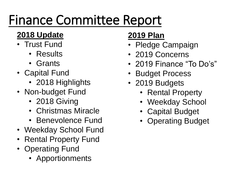## Finance Committee Report

#### **2018 Update**

- Trust Fund
	- Results
	- Grants
- Capital Fund
	- 2018 Highlights
- Non-budget Fund
	- 2018 Giving
	- Christmas Miracle
	- Benevolence Fund
- Weekday School Fund
- Rental Property Fund
- Operating Fund
	- Apportionments

#### **2019 Plan**

- Pledge Campaign
- 2019 Concerns
- 2019 Finance "To Do's"
- **Budget Process**
- 2019 Budgets
	- Rental Property
	- Weekday School
	- Capital Budget
	- Operating Budget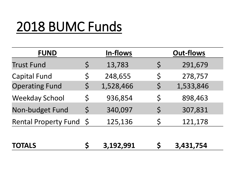#### 2018 BUMC Funds

| <b>FUND</b>             |         | In-flows  |             | <b>Out-flows</b> |
|-------------------------|---------|-----------|-------------|------------------|
| <b>Trust Fund</b>       | $\zeta$ | 13,783    | $\varsigma$ | 291,679          |
| <b>Capital Fund</b>     | \$      | 248,655   | \$          | 278,757          |
| <b>Operating Fund</b>   | \$      | 1,528,466 | $\varsigma$ | 1,533,846        |
| <b>Weekday School</b>   | $\zeta$ | 936,854   | \$          | 898,463          |
| Non-budget Fund         | $\zeta$ | 340,097   | $\varsigma$ | 307,831          |
| Rental Property Fund \$ |         | 125,136   | \$          | 121,178          |
|                         |         |           |             |                  |
| <b>TOTALS</b>           |         | 3,192,991 |             | 3,431,754        |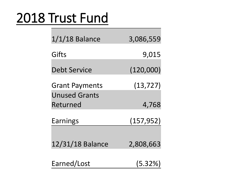#### 2018 Trust Fund

| $1/1/18$ Balance      | 3,086,559  |
|-----------------------|------------|
| Gifts                 | 9,015      |
| <b>Debt Service</b>   | (120,000)  |
| <b>Grant Payments</b> | (13, 727)  |
| <b>Unused Grants</b>  |            |
| Returned              | 4,768      |
| Earnings              | (157, 952) |
| 12/31/18 Balance      | 2,808,663  |
| Earned/Lost           | (5.32%)    |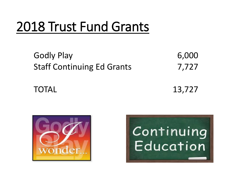#### 2018 Trust Fund Grants

| <b>Godly Play</b>                 | 6,000 |
|-----------------------------------|-------|
| <b>Staff Continuing Ed Grants</b> | 7,727 |

TOTAL 13,727



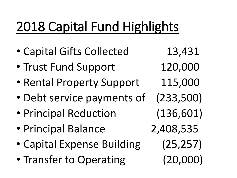### 2018 Capital Fund Highlights

- Capital Gifts Collected 13,431
- Trust Fund Support 120,000
- Rental Property Support 115,000
- Debt service payments of (233,500)
- Principal Reduction (136,601)
- Principal Balance 2,408,535
- Capital Expense Building (25,257)
- Transfer to Operating (20,000)
-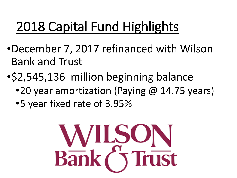### 2018 Capital Fund Highlights

- •December 7, 2017 refinanced with Wilson Bank and Trust
- •\$2,545,136 million beginning balance
	- •20 year amortization (Paying @ 14.75 years)
	- •5 year fixed rate of 3.95%

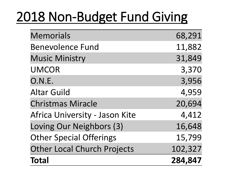#### 2018 Non-Budget Fund Giving

| <b>Memorials</b>                   | 68,291  |
|------------------------------------|---------|
| <b>Benevolence Fund</b>            | 11,882  |
| <b>Music Ministry</b>              | 31,849  |
| <b>UMCOR</b>                       | 3,370   |
| O.N.E.                             | 3,956   |
| <b>Altar Guild</b>                 | 4,959   |
| <b>Christmas Miracle</b>           | 20,694  |
| Africa University - Jason Kite     | 4,412   |
| Loving Our Neighbors (3)           | 16,648  |
| <b>Other Special Offerings</b>     | 15,799  |
| <b>Other Local Church Projects</b> | 102,327 |
| <b>Total</b>                       | 284,847 |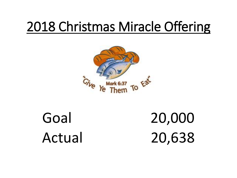#### 2018 Christmas Miracle Offering



Goal 20,000 Actual 20,638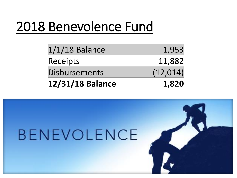#### 2018 Benevolence Fund

| 12/31/18 Balance     | 1,820     |
|----------------------|-----------|
| <b>Disbursements</b> | (12, 014) |
| Receipts             | 11,882    |
| $1/1/18$ Balance     | 1,953     |

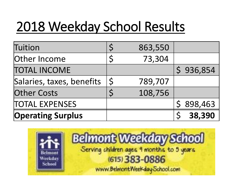### 2018 Weekday School Results

| Tuition                   |              | 863,550 |           |
|---------------------------|--------------|---------|-----------|
| Other Income              |              | 73,304  |           |
| <b>TOTAL INCOME</b>       |              |         | \$936,854 |
| Salaries, taxes, benefits | $\mathsf{S}$ | 789,707 |           |
| <b>Other Costs</b>        |              | 108,756 |           |
| <b>TOTAL EXPENSES</b>     |              |         | \$898,463 |
| <b>Operating Surplus</b>  |              |         | 38,390    |

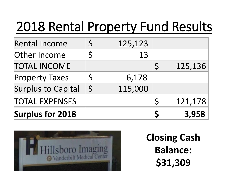#### 2018 Rental Property Fund Results

| <b>Surplus for 2018</b>   |         |         | Ś            | 3,958   |
|---------------------------|---------|---------|--------------|---------|
| <b>TOTAL EXPENSES</b>     |         |         | $\varsigma$  | 121,178 |
| <b>Surplus to Capital</b> | $\zeta$ | 115,000 |              |         |
| <b>Property Taxes</b>     |         | 6,178   |              |         |
| <b>TOTAL INCOME</b>       |         |         | $\mathsf{S}$ | 125,136 |
| Other Income              |         | 13      |              |         |
| <b>Rental Income</b>      |         | 125,123 |              |         |



**Closing Cash Balance: \$31,309**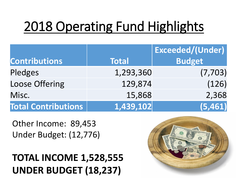## 2018 Operating Fund Highlights

|                            |              | <b>Exceeded/(Under)</b> |
|----------------------------|--------------|-------------------------|
| <b>Contributions</b>       | <b>Total</b> | <b>Budget</b>           |
| Pledges                    | 1,293,360    | (7, 703)                |
| <b>Loose Offering</b>      | 129,874      | (126)                   |
| Misc.                      | 15,868       | 2,368                   |
| <b>Total Contributions</b> | 1,439,102    | (5,461)                 |

Other Income: 89,453 Under Budget: (12,776)

#### **TOTAL INCOME 1,528,555 UNDER BUDGET (18,237)**

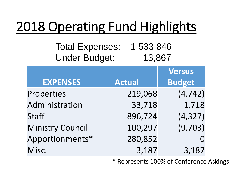#### 2018 Operating Fund Highlights

#### Total Expenses: 1,533,846 Under Budget: 13,867

|                         |               | Versus        |
|-------------------------|---------------|---------------|
| <b>EXPENSES</b>         | <b>Actual</b> | <b>Budget</b> |
| Properties              | 219,068       | (4, 742)      |
| Administration          | 33,718        | 1,718         |
| <b>Staff</b>            | 896,724       | (4, 327)      |
| <b>Ministry Council</b> | 100,297       | (9,703)       |
| Apportionments*         | 280,852       |               |
| Misc.                   | 3,187         | 3,187         |

\* Represents 100% of Conference Askings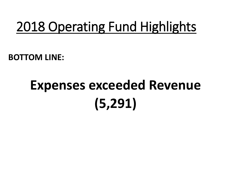#### 2018 Operating Fund Highlights

**BOTTOM LINE:**

## **Expenses exceeded Revenue (5,291)**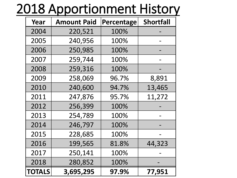#### 2018 Apportionment History

| Year          | <b>Amount Paid</b> | Percentage | <b>Shortfall</b> |
|---------------|--------------------|------------|------------------|
| 2004          | 220,521            | 100%       |                  |
| 2005          | 240,956            | 100%       |                  |
| 2006          | 250,985            | 100%       |                  |
| 2007          | 259,744            | 100%       |                  |
| 2008          | 259,316            | 100%       |                  |
| 2009          | 258,069            | 96.7%      | 8,891            |
| 2010          | 240,600            | 94.7%      | 13,465           |
| 2011          | 247,876            | 95.7%      | 11,272           |
| 2012          | 256,399            | 100%       |                  |
| 2013          | 254,789            | 100%       |                  |
| 2014          | 246,797            | 100%       |                  |
| 2015          | 228,685            | 100%       |                  |
| 2016          | 199,565            | 81.8%      | 44,323           |
| 2017          | 250,141            | 100%       |                  |
| 2018          | 280,852            | 100%       |                  |
| <b>TOTALS</b> | 3,695,295          | 97.9%      | 77,951           |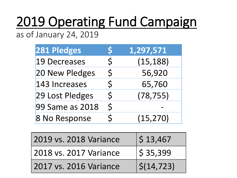# 2019 Operating Fund Campaign

as of January 24, 2019

| 281 Pledges         | S            | 1,297,571 |
|---------------------|--------------|-----------|
| <b>19 Decreases</b> | $\zeta$      | (15, 188) |
| 20 New Pledges      | $\mathsf{S}$ | 56,920    |
| 143 Increases       | $\zeta$      | 65,760    |
| 29 Lost Pledges     | $\zeta$      | (78, 755) |
| 99 Same as 2018     | $\zeta$      |           |
| 8 No Response       | $\zeta$      | (15, 270) |

| 2019 vs. 2018 Variance | \$13,467                  |
|------------------------|---------------------------|
| 2018 vs. 2017 Variance | $\frac{15}{5}$ 35,399     |
| 2017 vs. 2016 Variance | $\frac{\zeta(14,723)}{2}$ |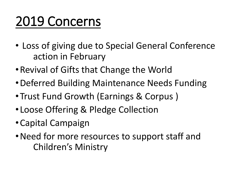#### 2019 Concerns

- Loss of giving due to Special General Conference action in February
- •Revival of Gifts that Change the World
- •Deferred Building Maintenance Needs Funding
- •Trust Fund Growth (Earnings & Corpus )
- •Loose Offering & Pledge Collection
- •Capital Campaign
- •Need for more resources to support staff and Children's Ministry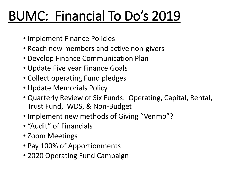### BUMC: Financial To Do's 2019

- Implement Finance Policies
- Reach new members and active non-givers
- Develop Finance Communication Plan
- Update Five year Finance Goals
- Collect operating Fund pledges
- Update Memorials Policy
- Quarterly Review of Six Funds: Operating, Capital, Rental, Trust Fund, WDS, & Non-Budget
- Implement new methods of Giving "Venmo"?
- "Audit" of Financials
- Zoom Meetings
- Pay 100% of Apportionments
- 2020 Operating Fund Campaign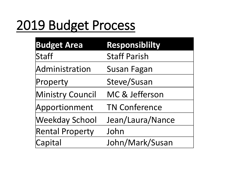#### 2019 Budget Process

| <b>Budget Area</b>     | <b>Responsiblilty</b> |
|------------------------|-----------------------|
| Staff                  | <b>Staff Parish</b>   |
| Administration         | <b>Susan Fagan</b>    |
| Property               | Steve/Susan           |
| Ministry Council       | MC & Jefferson        |
| Apportionment          | <b>TN Conference</b>  |
| <b>Weekday School</b>  | Jean/Laura/Nance      |
| <b>Rental Property</b> | John                  |
| Capital                | John/Mark/Susan       |